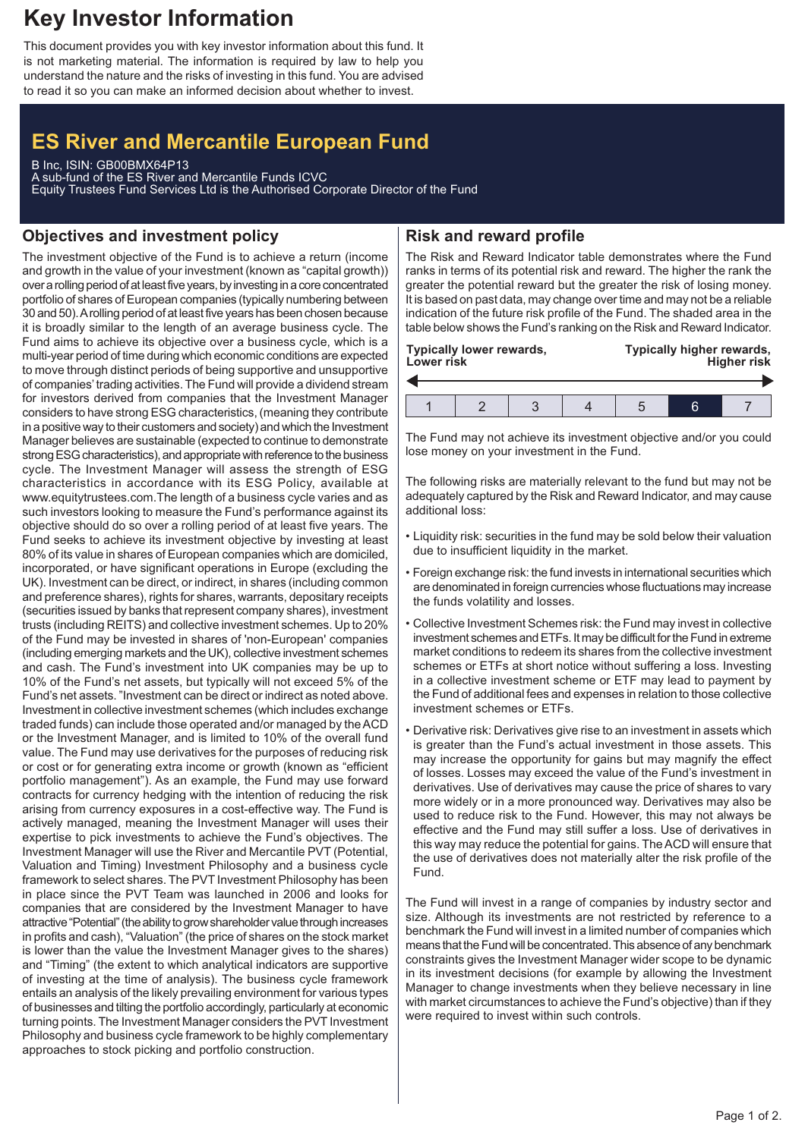# **Key Investor Information**

This document provides you with key investor information about this fund. It is not marketing material. The information is required by law to help you understand the nature and the risks of investing in this fund. You are advised to read it so you can make an informed decision about whether to invest.

## **ES River and Mercantile European Fund**

B Inc, ISIN: GB00BMX64P13 A sub-fund of the ES River and Mercantile Funds ICVC Equity Trustees Fund Services Ltd is the Authorised Corporate Director of the Fund

## **Objectives and investment policy**

The investment objective of the Fund is to achieve a return (income and growth in the value of your investment (known as "capital growth)) over a rolling period of at leastfive years, by investing in a core concentrated portfolio of shares of European companies (typically numbering between 30 and 50).A rolling period of at least five years has been chosen because it is broadly similar to the length of an average business cycle. The Fund aims to achieve its objective over a business cycle, which is a multi-year period of time during which economic conditions are expected to move through distinct periods of being supportive and unsupportive of companies'trading activities. The Fund will provide a dividend stream for investors derived from companies that the Investment Manager considers to have strong ESG characteristics, (meaning they contribute in a positive way to their customers and society) and which the Investment Manager believes are sustainable (expected to continue to demonstrate strong ESG characteristics), and appropriate with reference to the business cycle. The Investment Manager will assess the strength of ESG characteristics in accordance with its ESG Policy, available at www.equitytrustees.com.The length of a business cycle varies and as such investors looking to measure the Fund's performance against its objective should do so over a rolling period of at least five years. The Fund seeks to achieve its investment objective by investing at least 80% of its value in shares of European companies which are domiciled, incorporated, or have significant operations in Europe (excluding the UK). Investment can be direct, or indirect, in shares (including common and preference shares), rights for shares, warrants, depositary receipts (securities issued by banks that represent company shares), investment trusts (including REITS) and collective investment schemes. Up to 20% of the Fund may be invested in shares of 'non-European' companies (including emerging markets and the UK), collective investment schemes and cash. The Fund's investment into UK companies may be up to 10% of the Fund's net assets, but typically will not exceed 5% of the Fund's net assets. "Investment can be direct or indirect as noted above. Investment in collective investment schemes (which includes exchange traded funds) can include those operated and/or managed by the ACD or the Investment Manager, and is limited to 10% of the overall fund value. The Fund may use derivatives for the purposes of reducing risk or cost or for generating extra income or growth (known as "efficient portfolio management"). As an example, the Fund may use forward contracts for currency hedging with the intention of reducing the risk arising from currency exposures in a cost-effective way. The Fund is actively managed, meaning the Investment Manager will uses their expertise to pick investments to achieve the Fund's objectives. The Investment Manager will use the River and Mercantile PVT (Potential, Valuation and Timing) Investment Philosophy and a business cycle framework to select shares. The PVT Investment Philosophy has been in place since the PVT Team was launched in 2006 and looks for companies that are considered by the Investment Manager to have attractive "Potential" (the ability to grow shareholder value through increases in profits and cash), "Valuation" (the price of shares on the stock market is lower than the value the Investment Manager gives to the shares) and "Timing" (the extent to which analytical indicators are supportive of investing at the time of analysis). The business cycle framework entails an analysis of the likely prevailing environment for various types of businesses and tilting the portfolio accordingly, particularly at economic turning points. The Investment Manager considers the PVT Investment Philosophy and business cycle framework to be highly complementary approaches to stock picking and portfolio construction.

## **Risk and reward profile**

The Risk and Reward Indicator table demonstrates where the Fund ranks in terms of its potential risk and reward. The higher the rank the greater the potential reward but the greater the risk of losing money. It is based on past data, may change over time and may not be a reliable indication of the future risk profile of the Fund. The shaded area in the table below shows the Fund's ranking on the Risk and Reward Indicator.

| Typically lower rewards, |  |  |  | Typically higher rewards, |    |  |  |
|--------------------------|--|--|--|---------------------------|----|--|--|
| Lower risk               |  |  |  | <b>Higher risk</b>        |    |  |  |
|                          |  |  |  |                           | ีค |  |  |

The Fund may not achieve its investment objective and/or you could lose money on your investment in the Fund.

The following risks are materially relevant to the fund but may not be adequately captured by the Risk and Reward Indicator, and may cause additional loss:

- Liquidity risk: securities in the fund may be sold below their valuation due to insufficient liquidity in the market.
- Foreign exchange risk: the fund invests in international securities which are denominated in foreign currencies whose fluctuations may increase the funds volatility and losses.
- Collective Investment Schemes risk: the Fund may invest in collective investment schemes and ETFs. It may be difficult for the Fund in extreme market conditions to redeem its shares from the collective investment schemes or ETFs at short notice without suffering a loss. Investing in a collective investment scheme or ETF may lead to payment by the Fund of additional fees and expenses in relation to those collective investment schemes or ETFs.
- Derivative risk: Derivatives give rise to an investment in assets which is greater than the Fund's actual investment in those assets. This may increase the opportunity for gains but may magnify the effect of losses. Losses may exceed the value of the Fund's investment in derivatives. Use of derivatives may cause the price of shares to vary more widely or in a more pronounced way. Derivatives may also be used to reduce risk to the Fund. However, this may not always be effective and the Fund may still suffer a loss. Use of derivatives in this way may reduce the potential for gains. The ACD will ensure that the use of derivatives does not materially alter the risk profile of the Fund.

The Fund will invest in a range of companies by industry sector and size. Although its investments are not restricted by reference to a benchmark the Fund will invest in a limited number of companies which means that the Fund will be concentrated. This absence of any benchmark constraints gives the Investment Manager wider scope to be dynamic in its investment decisions (for example by allowing the Investment Manager to change investments when they believe necessary in line with market circumstances to achieve the Fund's objective) than if they were required to invest within such controls.